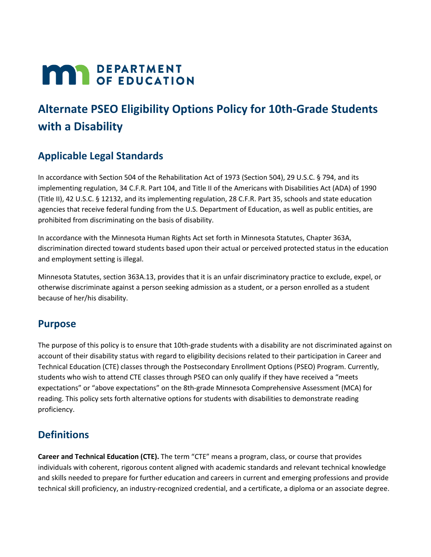# **MAY DEPARTMENT**

## **Alternate PSEO Eligibility Options Policy for 10th-Grade Students with a Disability**

## **Applicable Legal Standards**

In accordance with Section 504 of the Rehabilitation Act of 1973 (Section 504), 29 U.S.C. § 794, and its implementing regulation, 34 C.F.R. Part 104, and Title II of the Americans with Disabilities Act (ADA) of 1990 (Title II), 42 U.S.C. § 12132, and its implementing regulation, 28 C.F.R. Part 35, schools and state education agencies that receive federal funding from the U.S. Department of Education, as well as public entities, are prohibited from discriminating on the basis of disability.

In accordance with the Minnesota Human Rights Act set forth in Minnesota Statutes, Chapter 363A, discrimination directed toward students based upon their actual or perceived protected status in the education and employment setting is illegal.

Minnesota Statutes, section 363A.13, provides that it is an unfair discriminatory practice to exclude, expel, or otherwise discriminate against a person seeking admission as a student, or a person enrolled as a student because of her/his disability.

### **Purpose**

The purpose of this policy is to ensure that 10th-grade students with a disability are not discriminated against on account of their disability status with regard to eligibility decisions related to their participation in Career and Technical Education (CTE) classes through the Postsecondary Enrollment Options (PSEO) Program. Currently, students who wish to attend CTE classes through PSEO can only qualify if they have received a "meets expectations" or "above expectations" on the 8th-grade Minnesota Comprehensive Assessment (MCA) for reading. This policy sets forth alternative options for students with disabilities to demonstrate reading proficiency.

## **Definitions**

**Career and Technical Education (CTE).** The term "CTE" means a program, class, or course that provides individuals with coherent, rigorous content aligned with academic standards and relevant technical knowledge and skills needed to prepare for further education and careers in current and emerging professions and provide technical skill proficiency, an industry-recognized credential, and a certificate, a diploma or an associate degree.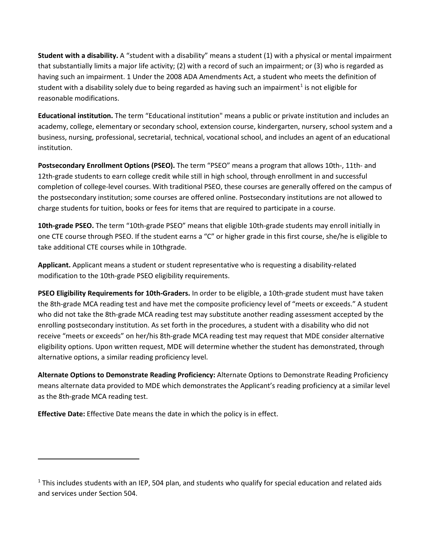**Student with a disability.** A "student with a disability" means a student (1) with a physical or mental impairment that substantially limits a major life activity; (2) with a record of such an impairment; or (3) who is regarded as having such an impairment. 1 Under the 2008 ADA Amendments Act, a student who meets the definition of student with a disability solely due to being regarded as having such an impairment<sup>[1](#page-1-0)</sup> is not eligible for reasonable modifications.

**Educational institution.** The term "Educational institution" means a public or private institution and includes an academy, college, elementary or secondary school, extension course, kindergarten, nursery, school system and a business, nursing, professional, secretarial, technical, vocational school, and includes an agent of an educational institution.

**Postsecondary Enrollment Options (PSEO).** The term "PSEO" means a program that allows 10th-, 11th- and 12th-grade students to earn college credit while still in high school, through enrollment in and successful completion of college-level courses. With traditional PSEO, these courses are generally offered on the campus of the postsecondary institution; some courses are offered online. Postsecondary institutions are not allowed to charge students for tuition, books or fees for items that are required to participate in a course.

**10th-grade PSEO.** The term "10th-grade PSEO" means that eligible 10th-grade students may enroll initially in one CTE course through PSEO. If the student earns a "C" or higher grade in this first course, she/he is eligible to take additional CTE courses while in 10thgrade.

**Applicant.** Applicant means a student or student representative who is requesting a disability-related modification to the 10th-grade PSEO eligibility requirements.

**PSEO Eligibility Requirements for 10th-Graders.** In order to be eligible, a 10th-grade student must have taken the 8th-grade MCA reading test and have met the composite proficiency level of "meets or exceeds." A student who did not take the 8th-grade MCA reading test may substitute another reading assessment accepted by the enrolling postsecondary institution. As set forth in the procedures, a student with a disability who did not receive "meets or exceeds" on her/his 8th-grade MCA reading test may request that MDE consider alternative eligibility options. Upon written request, MDE will determine whether the student has demonstrated, through alternative options, a similar reading proficiency level.

**Alternate Options to Demonstrate Reading Proficiency:** Alternate Options to Demonstrate Reading Proficiency means alternate data provided to MDE which demonstrates the Applicant's reading proficiency at a similar level as the 8th-grade MCA reading test.

**Effective Date:** Effective Date means the date in which the policy is in effect.

 $\overline{\phantom{a}}$ 

<span id="page-1-0"></span> $1$  This includes students with an IEP, 504 plan, and students who qualify for special education and related aids and services under Section 504.